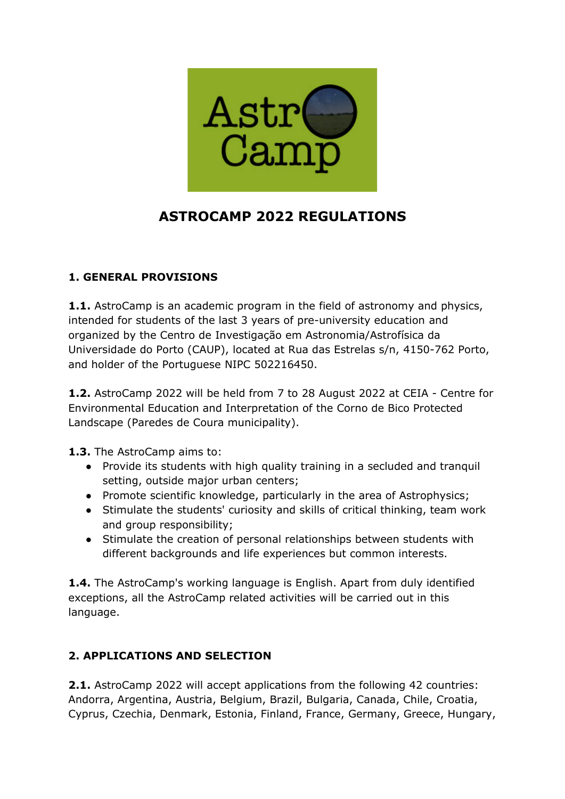

# **ASTROCAMP 2022 REGULATIONS**

## **1. GENERAL PROVISIONS**

**1.1.** AstroCamp is an academic program in the field of astronomy and physics, intended for students of the last 3 years of pre-university education and organized by the Centro de Investigação em Astronomia/Astrofísica da Universidade do Porto (CAUP), located at Rua das Estrelas s/n, 4150-762 Porto, and holder of the Portuguese NIPC 502216450.

**1.2.** AstroCamp 2022 will be held from 7 to 28 August 2022 at CEIA - Centre for Environmental Education and Interpretation of the Corno de Bico Protected Landscape (Paredes de Coura municipality).

**1.3.** The AstroCamp aims to:

- Provide its students with high quality training in a secluded and tranquil setting, outside major urban centers;
- Promote scientific knowledge, particularly in the area of Astrophysics;
- Stimulate the students' curiosity and skills of critical thinking, team work and group responsibility:
- Stimulate the creation of personal relationships between students with different backgrounds and life experiences but common interests.

**1.4.** The AstroCamp's working language is English. Apart from duly identified exceptions, all the AstroCamp related activities will be carried out in this language.

## **2. APPLICATIONS AND SELECTION**

**2.1.** AstroCamp 2022 will accept applications from the following 42 countries: Andorra, Argentina, Austria, Belgium, Brazil, Bulgaria, Canada, Chile, Croatia, Cyprus, Czechia, Denmark, Estonia, Finland, France, Germany, Greece, Hungary,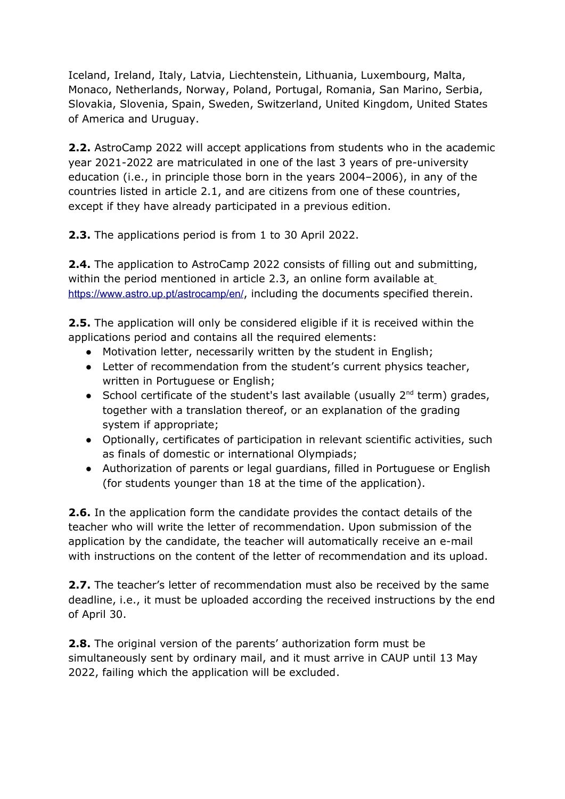Iceland, Ireland, Italy, Latvia, Liechtenstein, Lithuania, Luxembourg, Malta, Monaco, Netherlands, Norway, Poland, Portugal, Romania, San Marino, Serbia, Slovakia, Slovenia, Spain, Sweden, Switzerland, United Kingdom, United States of America and Uruguay.

**2.2.** AstroCamp 2022 will accept applications from students who in the academic year 2021-2022 are matriculated in one of the last 3 years of pre-university education (i.e., in principle those born in the years 2004–2006), in any of the countries listed in article 2.1, and are citizens from one of these countries, except if they have already participated in a previous edition.

**2.3.** The applications period is from 1 to 30 April 2022.

**2.4.** The application to AstroCamp 2022 consists of filling out and submitting, within the period mentioned in article 2.3, an online form available at https://www.astro.up.pt/astrocamp/en/, including the documents specified therein.

**2.5.** The application will only be considered eligible if it is received within the applications period and contains all the required elements:

- Motivation letter, necessarily written by the student in English;
- Letter of recommendation from the student's current physics teacher, written in Portuguese or English;
- School certificate of the student's last available (usually  $2^{nd}$  term) grades, together with a translation thereof, or an explanation of the grading system if appropriate;
- Optionally, certificates of participation in relevant scientific activities, such as finals of domestic or international Olympiads;
- Authorization of parents or legal guardians, filled in Portuguese or English (for students younger than 18 at the time of the application).

**2.6.** In the application form the candidate provides the contact details of the teacher who will write the letter of recommendation. Upon submission of the application by the candidate, the teacher will automatically receive an e-mail with instructions on the content of the letter of recommendation and its upload.

**2.7.** The teacher's letter of recommendation must also be received by the same deadline, i.e., it must be uploaded according the received instructions by the end of April 30.

**2.8.** The original version of the parents' authorization form must be simultaneously sent by ordinary mail, and it must arrive in CAUP until 13 May 2022, failing which the application will be excluded.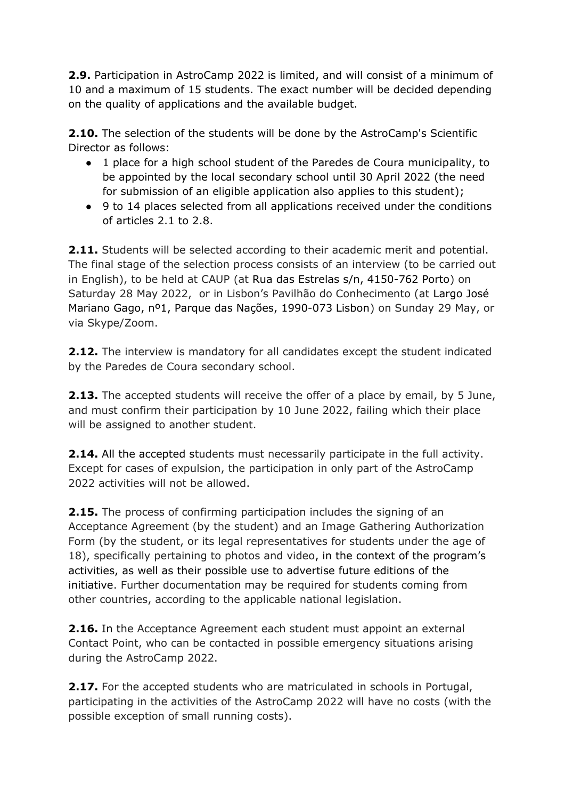**2.9.** Participation in AstroCamp 2022 is limited, and will consist of a minimum of 10 and a maximum of 15 students. The exact number will be decided depending on the quality of applications and the available budget.

**2.10.** The selection of the students will be done by the AstroCamp's Scientific Director as follows:

- 1 place for a high school student of the Paredes de Coura municipality, to be appointed by the local secondary school until 30 April 2022 (the need for submission of an eligible application also applies to this student);
- 9 to 14 places selected from all applications received under the conditions of articles 2.1 to 2.8.

**2.11.** Students will be selected according to their academic merit and potential. The final stage of the selection process consists of an interview (to be carried out in English), to be held at CAUP (at Rua das Estrelas s/n, 4150-762 Porto) on Saturday 28 May 2022, or in Lisbon's Pavilhão do Conhecimento (at Largo José Mariano Gago, nº1, Parque das Nações, 1990-073 Lisbon) on Sunday 29 May, or via Skype/Zoom.

**2.12.** The interview is mandatory for all candidates except the student indicated by the Paredes de Coura secondary school.

**2.13.** The accepted students will receive the offer of a place by email, by 5 June, and must confirm their participation by 10 June 2022, failing which their place will be assigned to another student.

**2.14.** All the accepted students must necessarily participate in the full activity. Except for cases of expulsion, the participation in only part of the AstroCamp 2022 activities will not be allowed.

**2.15.** The process of confirming participation includes the signing of an Acceptance Agreement (by the student) and an Image Gathering Authorization Form (by the student, or its legal representatives for students under the age of 18), specifically pertaining to photos and video, in the context of the program's activities, as well as their possible use to advertise future editions of the initiative. Further documentation may be required for students coming from other countries, according to the applicable national legislation.

**2.16.** In the Acceptance Agreement each student must appoint an external Contact Point, who can be contacted in possible emergency situations arising during the AstroCamp 2022.

**2.17.** For the accepted students who are matriculated in schools in Portugal, participating in the activities of the AstroCamp 2022 will have no costs (with the possible exception of small running costs).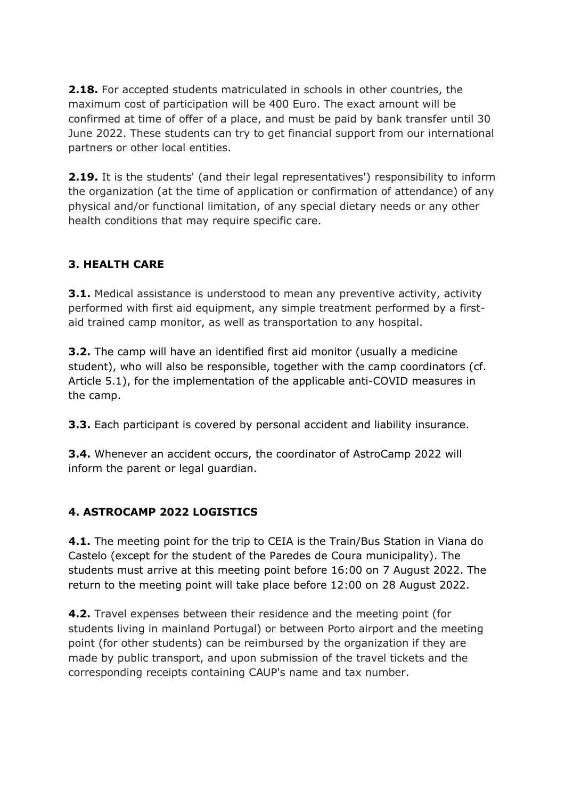**2.18.** For accepted students matriculated in schools in other countries, the maximum cost of participation will be 400 Euro. The exact amount will be confirmed at time of offer of a place, and must be paid by bank transfer until 30 June 2022. These students can try to get financial support from our international partners or other local entities.

**2.19.** It is the students' (and their legal representatives') responsibility to inform the organization (at the time of application or confirmation of attendance) of any physical and/or functional limitation, of any special dietary needs or any other health conditions that may require specific care.

## **3. HEALTH CARE**

**3.1.** Medical assistance is understood to mean any preventive activity, activity performed with first aid equipment, any simple treatment performed by a firstaid trained camp monitor, as well as transportation to any hospital.

**3.2.** The camp will have an identified first aid monitor (usually a medicine student), who will also be responsible, together with the camp coordinators (cf. Article 5.1), for the implementation of the applicable anti-COVID measures in the camp.

**3.3.** Each participant is covered by personal accident and liability insurance.

**3.4.** Whenever an accident occurs, the coordinator of AstroCamp 2022 will inform the parent or legal guardian.

#### **4. ASTROCAMP 2022 LOGISTICS**

**4.1.** The meeting point for the trip to CEIA is the Train/Bus Station in Viana do Castelo (except for the student of the Paredes de Coura municipality). The students must arrive at this meeting point before 16:00 on 7 August 2022. The return to the meeting point will take place before 12:00 on 28 August 2022.

**4.2.** Travel expenses between their residence and the meeting point (for students living in mainland Portugal) or between Porto airport and the meeting point (for other students) can be reimbursed by the organization if they are made by public transport, and upon submission of the travel tickets and the corresponding receipts containing CAUP's name and tax number.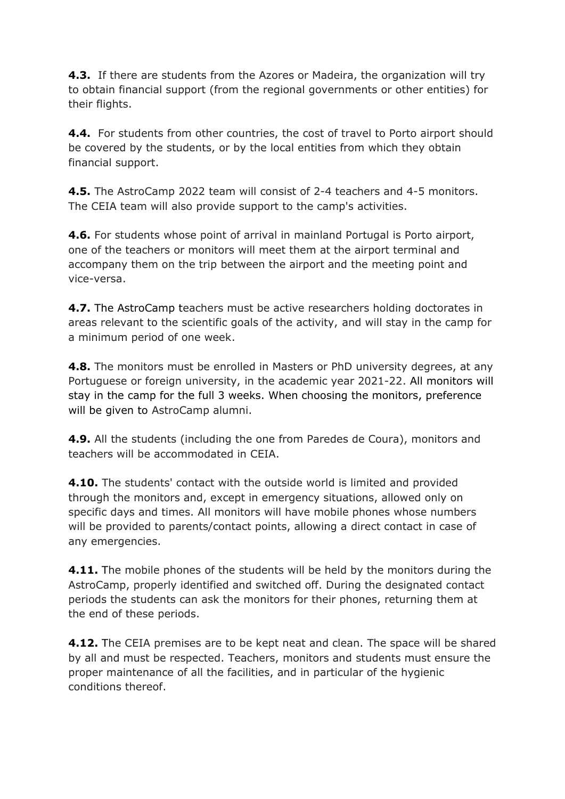**4.3.** If there are students from the Azores or Madeira, the organization will try to obtain financial support (from the regional governments or other entities) for their flights.

**4.4.** For students from other countries, the cost of travel to Porto airport should be covered by the students, or by the local entities from which they obtain financial support.

**4.5.** The AstroCamp 2022 team will consist of 2-4 teachers and 4-5 monitors. The CEIA team will also provide support to the camp's activities.

**4.6.** For students whose point of arrival in mainland Portugal is Porto airport, one of the teachers or monitors will meet them at the airport terminal and accompany them on the trip between the airport and the meeting point and vice-versa.

**4.7.** The AstroCamp teachers must be active researchers holding doctorates in areas relevant to the scientific goals of the activity, and will stay in the camp for a minimum period of one week.

**4.8.** The monitors must be enrolled in Masters or PhD university degrees, at any Portuguese or foreign university, in the academic year 2021-22. All monitors will stay in the camp for the full 3 weeks. When choosing the monitors, preference will be given to AstroCamp alumni.

**4.9.** All the students (including the one from Paredes de Coura), monitors and teachers will be accommodated in CEIA.

**4.10.** The students' contact with the outside world is limited and provided through the monitors and, except in emergency situations, allowed only on specific days and times. All monitors will have mobile phones whose numbers will be provided to parents/contact points, allowing a direct contact in case of any emergencies.

**4.11.** The mobile phones of the students will be held by the monitors during the AstroCamp, properly identified and switched off. During the designated contact periods the students can ask the monitors for their phones, returning them at the end of these periods.

**4.12.** The CEIA premises are to be kept neat and clean. The space will be shared by all and must be respected. Teachers, monitors and students must ensure the proper maintenance of all the facilities, and in particular of the hygienic conditions thereof.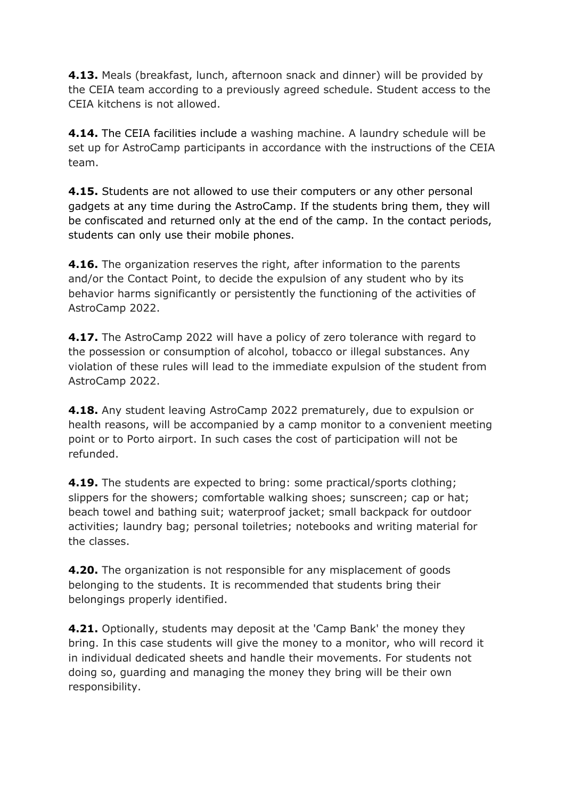**4.13.** Meals (breakfast, lunch, afternoon snack and dinner) will be provided by the CEIA team according to a previously agreed schedule. Student access to the CEIA kitchens is not allowed.

**4.14.** The CEIA facilities include a washing machine. A laundry schedule will be set up for AstroCamp participants in accordance with the instructions of the CEIA team.

**4.15.** Students are not allowed to use their computers or any other personal gadgets at any time during the AstroCamp. If the students bring them, they will be confiscated and returned only at the end of the camp. In the contact periods, students can only use their mobile phones.

**4.16.** The organization reserves the right, after information to the parents and/or the Contact Point, to decide the expulsion of any student who by its behavior harms significantly or persistently the functioning of the activities of AstroCamp 2022.

**4.17.** The AstroCamp 2022 will have a policy of zero tolerance with regard to the possession or consumption of alcohol, tobacco or illegal substances. Any violation of these rules will lead to the immediate expulsion of the student from AstroCamp 2022.

**4.18.** Any student leaving AstroCamp 2022 prematurely, due to expulsion or health reasons, will be accompanied by a camp monitor to a convenient meeting point or to Porto airport. In such cases the cost of participation will not be refunded.

**4.19.** The students are expected to bring: some practical/sports clothing; slippers for the showers; comfortable walking shoes; sunscreen; cap or hat; beach towel and bathing suit; waterproof jacket; small backpack for outdoor activities; laundry bag; personal toiletries; notebooks and writing material for the classes.

**4.20.** The organization is not responsible for any misplacement of goods belonging to the students. It is recommended that students bring their belongings properly identified.

**4.21.** Optionally, students may deposit at the 'Camp Bank' the money they bring. In this case students will give the money to a monitor, who will record it in individual dedicated sheets and handle their movements. For students not doing so, guarding and managing the money they bring will be their own responsibility.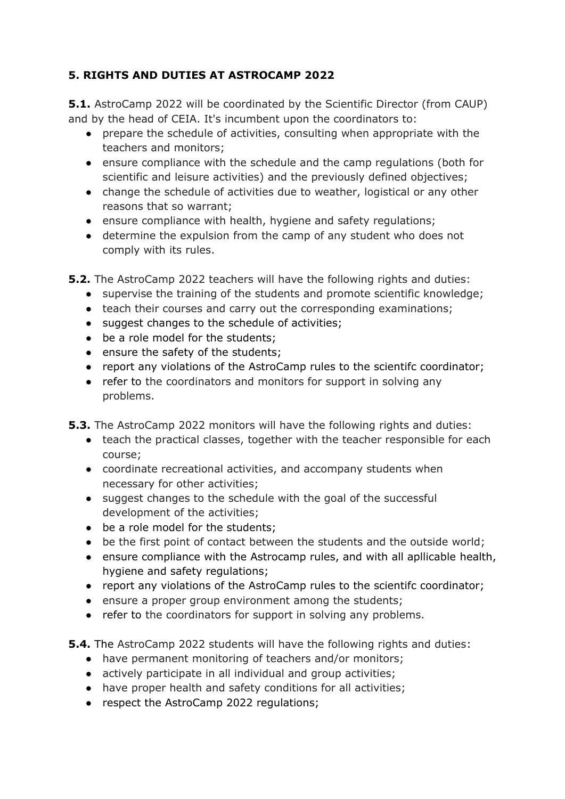## **5. RIGHTS AND DUTIES AT ASTROCAMP 2022**

**5.1.** AstroCamp 2022 will be coordinated by the Scientific Director (from CAUP) and by the head of CEIA. It's incumbent upon the coordinators to:

- prepare the schedule of activities, consulting when appropriate with the teachers and monitors;
- ensure compliance with the schedule and the camp regulations (both for scientific and leisure activities) and the previously defined objectives;
- change the schedule of activities due to weather, logistical or any other reasons that so warrant;
- ensure compliance with health, hygiene and safety regulations;
- determine the expulsion from the camp of any student who does not comply with its rules.

**5.2.** The AstroCamp 2022 teachers will have the following rights and duties:

- supervise the training of the students and promote scientific knowledge;
- teach their courses and carry out the corresponding examinations;
- suggest changes to the schedule of activities;
- be a role model for the students;
- ensure the safety of the students;
- report any violations of the AstroCamp rules to the scientifc coordinator;
- refer to the coordinators and monitors for support in solving any problems.

**5.3.** The AstroCamp 2022 monitors will have the following rights and duties:

- teach the practical classes, together with the teacher responsible for each course;
- coordinate recreational activities, and accompany students when necessary for other activities;
- suggest changes to the schedule with the goal of the successful development of the activities;
- be a role model for the students;
- be the first point of contact between the students and the outside world;
- ensure compliance with the Astrocamp rules, and with all apliicable health, hygiene and safety regulations;
- report any violations of the AstroCamp rules to the scientifc coordinator;
- ensure a proper group environment among the students;
- refer to the coordinators for support in solving any problems.

**5.4.** The AstroCamp 2022 students will have the following rights and duties:

- have permanent monitoring of teachers and/or monitors;
- actively participate in all individual and group activities;
- have proper health and safety conditions for all activities;
- respect the AstroCamp 2022 regulations;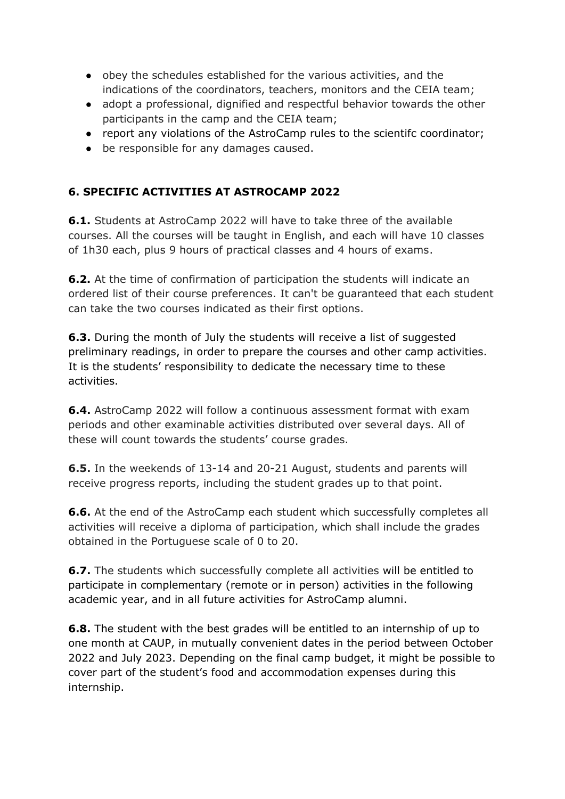- obey the schedules established for the various activities, and the indications of the coordinators, teachers, monitors and the CEIA team;
- adopt a professional, dignified and respectful behavior towards the other participants in the camp and the CEIA team;
- report any violations of the AstroCamp rules to the scientifc coordinator;
- be responsible for any damages caused.

#### **6. SPECIFIC ACTIVITIES AT ASTROCAMP 2022**

**6.1.** Students at AstroCamp 2022 will have to take three of the available courses. All the courses will be taught in English, and each will have 10 classes of 1h30 each, plus 9 hours of practical classes and 4 hours of exams.

**6.2.** At the time of confirmation of participation the students will indicate an ordered list of their course preferences. It can't be guaranteed that each student can take the two courses indicated as their first options.

**6.3.** During the month of July the students will receive a list of suggested preliminary readings, in order to prepare the courses and other camp activities. It is the students' responsibility to dedicate the necessary time to these activities.

**6.4.** AstroCamp 2022 will follow a continuous assessment format with exam periods and other examinable activities distributed over several days. All of these will count towards the students' course grades.

**6.5.** In the weekends of 13-14 and 20-21 August, students and parents will receive progress reports, including the student grades up to that point.

**6.6.** At the end of the AstroCamp each student which successfully completes all activities will receive a diploma of participation, which shall include the grades obtained in the Portuguese scale of 0 to 20.

**6.7.** The students which successfully complete all activities will be entitled to participate in complementary (remote or in person) activities in the following academic year, and in all future activities for AstroCamp alumni.

**6.8.** The student with the best grades will be entitled to an internship of up to one month at CAUP, in mutually convenient dates in the period between October 2022 and July 2023. Depending on the final camp budget, it might be possible to cover part of the student's food and accommodation expenses during this internship.